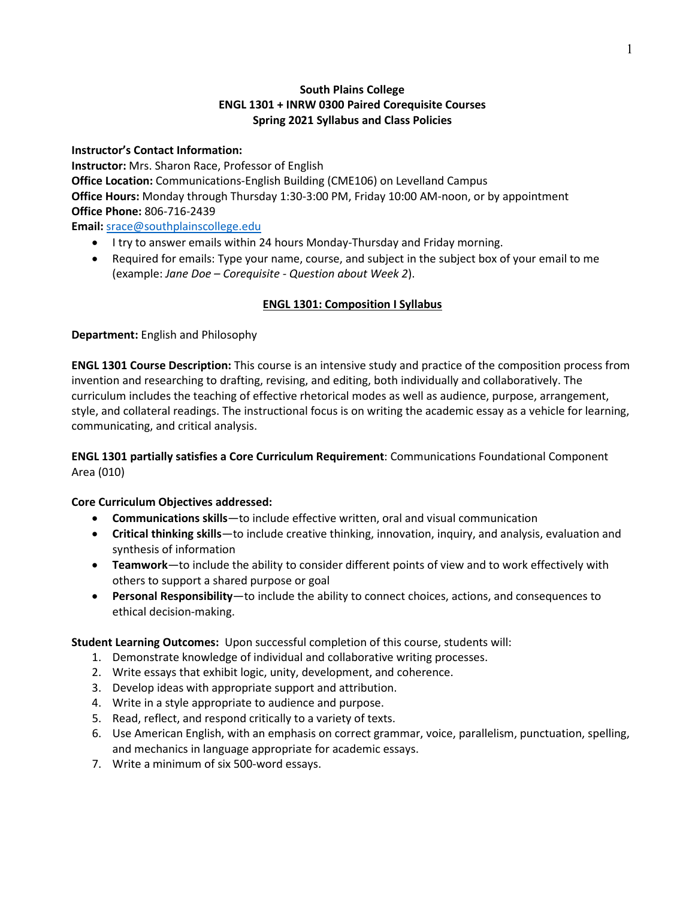## **South Plains College ENGL 1301 + INRW 0300 Paired Corequisite Courses Spring 2021 Syllabus and Class Policies**

**Instructor's Contact Information: Instructor:** Mrs. Sharon Race, Professor of English **Office Location:** Communications-English Building (CME106) on Levelland Campus **Office Hours:** Monday through Thursday 1:30-3:00 PM, Friday 10:00 AM-noon, or by appointment **Office Phone:** 806-716-2439

**Email:** [srace@southplainscollege.edu](mailto:srace@southplainscollege.edu)

- I try to answer emails within 24 hours Monday-Thursday and Friday morning.
- Required for emails: Type your name, course, and subject in the subject box of your email to me (example: *Jane Doe – Corequisite - Question about Week 2*).

# **ENGL 1301: Composition I Syllabus**

**Department:** English and Philosophy

**ENGL 1301 Course Description:** This course is an intensive study and practice of the composition process from invention and researching to drafting, revising, and editing, both individually and collaboratively. The curriculum includes the teaching of effective rhetorical modes as well as audience, purpose, arrangement, style, and collateral readings. The instructional focus is on writing the academic essay as a vehicle for learning, communicating, and critical analysis.

**ENGL 1301 partially satisfies a Core Curriculum Requirement**: Communications Foundational Component Area (010)

### **Core Curriculum Objectives addressed:**

- **Communications skills**—to include effective written, oral and visual communication
- **Critical thinking skills**—to include creative thinking, innovation, inquiry, and analysis, evaluation and synthesis of information
- **Teamwork**—to include the ability to consider different points of view and to work effectively with others to support a shared purpose or goal
- **Personal Responsibility**—to include the ability to connect choices, actions, and consequences to ethical decision-making.

**Student Learning Outcomes:** Upon successful completion of this course, students will:

- 1. Demonstrate knowledge of individual and collaborative writing processes.
- 2. Write essays that exhibit logic, unity, development, and coherence.
- 3. Develop ideas with appropriate support and attribution.
- 4. Write in a style appropriate to audience and purpose.
- 5. Read, reflect, and respond critically to a variety of texts.
- 6. Use American English, with an emphasis on correct grammar, voice, parallelism, punctuation, spelling, and mechanics in language appropriate for academic essays.
- 7. Write a minimum of six 500-word essays.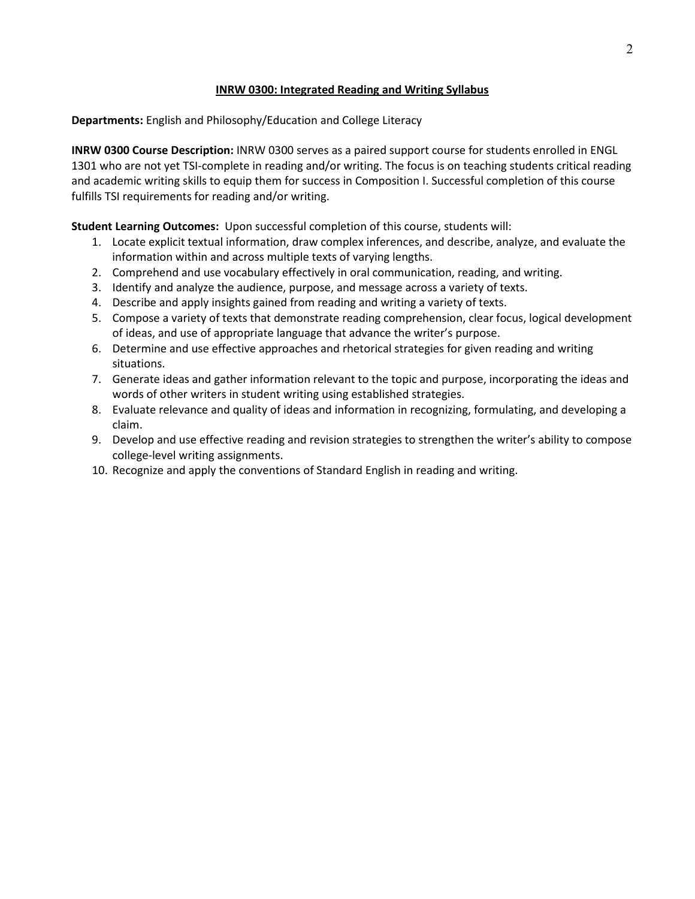### **INRW 0300: Integrated Reading and Writing Syllabus**

**Departments:** English and Philosophy/Education and College Literacy

**INRW 0300 Course Description:** INRW 0300 serves as a paired support course for students enrolled in ENGL 1301 who are not yet TSI-complete in reading and/or writing. The focus is on teaching students critical reading and academic writing skills to equip them for success in Composition I. Successful completion of this course fulfills TSI requirements for reading and/or writing.

**Student Learning Outcomes:** Upon successful completion of this course, students will:

- 1. Locate explicit textual information, draw complex inferences, and describe, analyze, and evaluate the information within and across multiple texts of varying lengths.
- 2. Comprehend and use vocabulary effectively in oral communication, reading, and writing.
- 3. Identify and analyze the audience, purpose, and message across a variety of texts.
- 4. Describe and apply insights gained from reading and writing a variety of texts.
- 5. Compose a variety of texts that demonstrate reading comprehension, clear focus, logical development of ideas, and use of appropriate language that advance the writer's purpose.
- 6. Determine and use effective approaches and rhetorical strategies for given reading and writing situations.
- 7. Generate ideas and gather information relevant to the topic and purpose, incorporating the ideas and words of other writers in student writing using established strategies.
- 8. Evaluate relevance and quality of ideas and information in recognizing, formulating, and developing a claim.
- 9. Develop and use effective reading and revision strategies to strengthen the writer's ability to compose college-level writing assignments.
- 10. Recognize and apply the conventions of Standard English in reading and writing.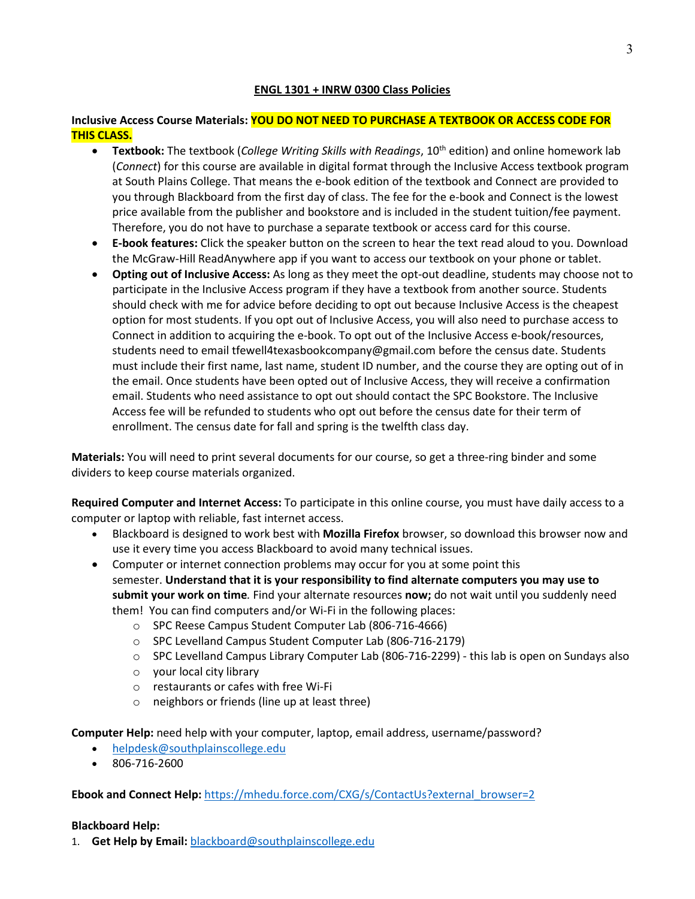### **ENGL 1301 + INRW 0300 Class Policies**

### **Inclusive Access Course Materials: YOU DO NOT NEED TO PURCHASE A TEXTBOOK OR ACCESS CODE FOR THIS CLASS.**

- **Textbook:** The textbook (*College Writing Skills with Readings*, 10th edition) and online homework lab (*Connect*) for this course are available in digital format through the Inclusive Access textbook program at South Plains College. That means the e-book edition of the textbook and Connect are provided to you through Blackboard from the first day of class. The fee for the e-book and Connect is the lowest price available from the publisher and bookstore and is included in the student tuition/fee payment. Therefore, you do not have to purchase a separate textbook or access card for this course.
- **E-book features:** Click the speaker button on the screen to hear the text read aloud to you. Download the McGraw-Hill ReadAnywhere app if you want to access our textbook on your phone or tablet.
- **Opting out of Inclusive Access:** As long as they meet the opt-out deadline, students may choose not to participate in the Inclusive Access program if they have a textbook from another source. Students should check with me for advice before deciding to opt out because Inclusive Access is the cheapest option for most students. If you opt out of Inclusive Access, you will also need to purchase access to Connect in addition to acquiring the e-book. To opt out of the Inclusive Access e-book/resources, students need to email tfewell4texasbookcompany@gmail.com before the census date. Students must include their first name, last name, student ID number, and the course they are opting out of in the email. Once students have been opted out of Inclusive Access, they will receive a confirmation email. Students who need assistance to opt out should contact the SPC Bookstore. The Inclusive Access fee will be refunded to students who opt out before the census date for their term of enrollment. The census date for fall and spring is the twelfth class day.

**Materials:** You will need to print several documents for our course, so get a three-ring binder and some dividers to keep course materials organized.

**Required Computer and Internet Access:** To participate in this online course, you must have daily access to a computer or laptop with reliable, fast internet access.

- Blackboard is designed to work best with **Mozilla Firefox** browser, so download this browser now and use it every time you access Blackboard to avoid many technical issues.
- Computer or internet connection problems may occur for you at some point this semester. **Understand that it is your responsibility to find alternate computers you may use to submit your work on time***.* Find your alternate resources **now;** do not wait until you suddenly need them! You can find computers and/or Wi-Fi in the following places:
	- o SPC Reese Campus Student Computer Lab (806-716-4666)
	- o SPC Levelland Campus Student Computer Lab (806-716-2179)
	- o SPC Levelland Campus Library Computer Lab (806-716-2299) this lab is open on Sundays also
	- o your local city library
	- o restaurants or cafes with free Wi-Fi
	- o neighbors or friends (line up at least three)

**Computer Help:** need help with your computer, laptop, email address, username/password?

- [helpdesk@southplainscollege.edu](mailto:helpdesk@southplainscollege.edu)
- 806-716-2600

**Ebook and Connect Help:** [https://mhedu.force.com/CXG/s/ContactUs?external\\_browser=2](https://mhedu.force.com/CXG/s/ContactUs?external_browser=2)

### **Blackboard Help:**

1. **Get Help by Email:** [blackboard@southplainscollege.edu](mailto:blackboard@southplainscollege.edu)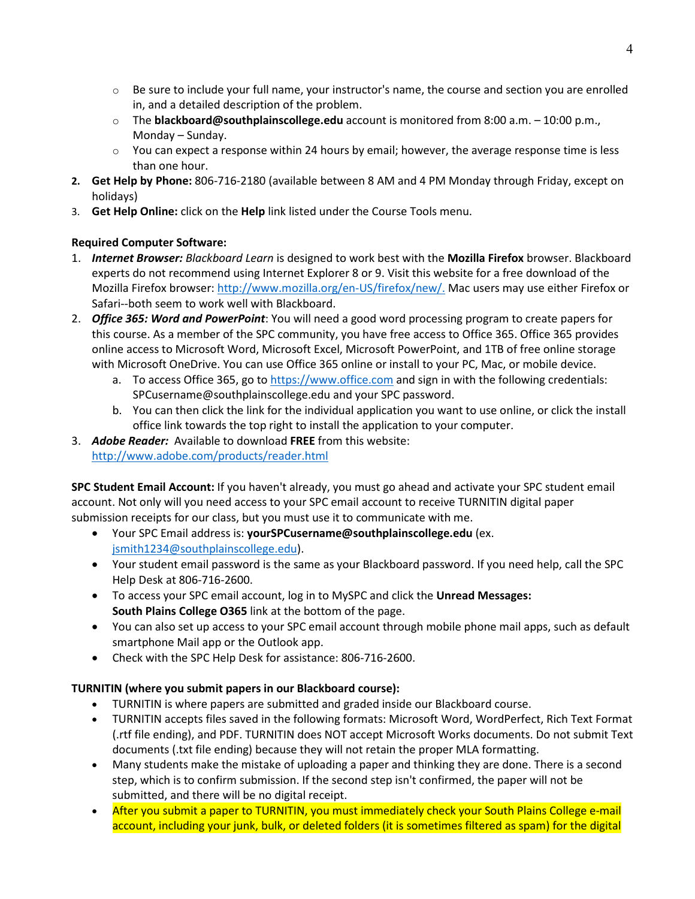- $\circ$  Be sure to include your full name, your instructor's name, the course and section you are enrolled in, and a detailed description of the problem.
- o The **blackboard@southplainscollege.edu** account is monitored from 8:00 a.m. 10:00 p.m., Monday – Sunday.
- $\circ$  You can expect a response within 24 hours by email; however, the average response time is less than one hour.
- **2. Get Help by Phone:** 806-716-2180 (available between 8 AM and 4 PM Monday through Friday, except on holidays)
- 3. **Get Help Online:** click on the **Help** link listed under the Course Tools menu.

# **Required Computer Software:**

- 1. *Internet Browser: Blackboard Learn* is designed to work best with the **Mozilla Firefox** browser. Blackboard experts do not recommend using Internet Explorer 8 or 9. Visit this website for a free download of the Mozilla Firefox browser: [http://www.mozilla.org/en-US/firefox/new/.](http://www.mozilla.org/en-US/firefox/new/) Mac users may use either Firefox or Safari--both seem to work well with Blackboard.
- 2. *Office 365: Word and PowerPoint*: You will need a good word processing program to create papers for this course. As a member of the SPC community, you have free access to Office 365. Office 365 provides online access to Microsoft Word, Microsoft Excel, Microsoft PowerPoint, and 1TB of free online storage with Microsoft OneDrive. You can use Office 365 online or install to your PC, Mac, or mobile device.
	- a. To access Office 365, go to [https://www.office.com](https://www.office.com/) and sign in with the following credentials: SPCusername@southplainscollege.edu and your SPC password.
	- b. You can then click the link for the individual application you want to use online, or click the install office link towards the top right to install the application to your computer.
- 3. *Adobe Reader:* Available to download **FREE** from this website: <http://www.adobe.com/products/reader.html>

**SPC Student Email Account:** If you haven't already, you must go ahead and activate your SPC student email account. Not only will you need access to your SPC email account to receive TURNITIN digital paper submission receipts for our class, but you must use it to communicate with me.

- Your SPC Email address is: **yourSPCusername@southplainscollege.edu** (ex. [jsmith1234@southplainscollege.edu\)](mailto:jsmith1234@southplainscollege.edu).
- Your student email password is the same as your Blackboard password. If you need help, call the SPC Help Desk at 806-716-2600.
- To access your SPC email account, log in to MySPC and click the **Unread Messages: South Plains College O365** link at the bottom of the page.
- You can also set up access to your SPC email account through mobile phone mail apps, such as default smartphone Mail app or the Outlook app.
- Check with the SPC Help Desk for assistance: 806-716-2600.

# **TURNITIN (where you submit papers in our Blackboard course):**

- TURNITIN is where papers are submitted and graded inside our Blackboard course.
- TURNITIN accepts files saved in the following formats: Microsoft Word, WordPerfect, Rich Text Format (.rtf file ending), and PDF. TURNITIN does NOT accept Microsoft Works documents. Do not submit Text documents (.txt file ending) because they will not retain the proper MLA formatting.
- Many students make the mistake of uploading a paper and thinking they are done. There is a second step, which is to confirm submission. If the second step isn't confirmed, the paper will not be submitted, and there will be no digital receipt.
- After you submit a paper to TURNITIN, you must immediately check your South Plains College e-mail account, including your junk, bulk, or deleted folders (it is sometimes filtered as spam) for the digital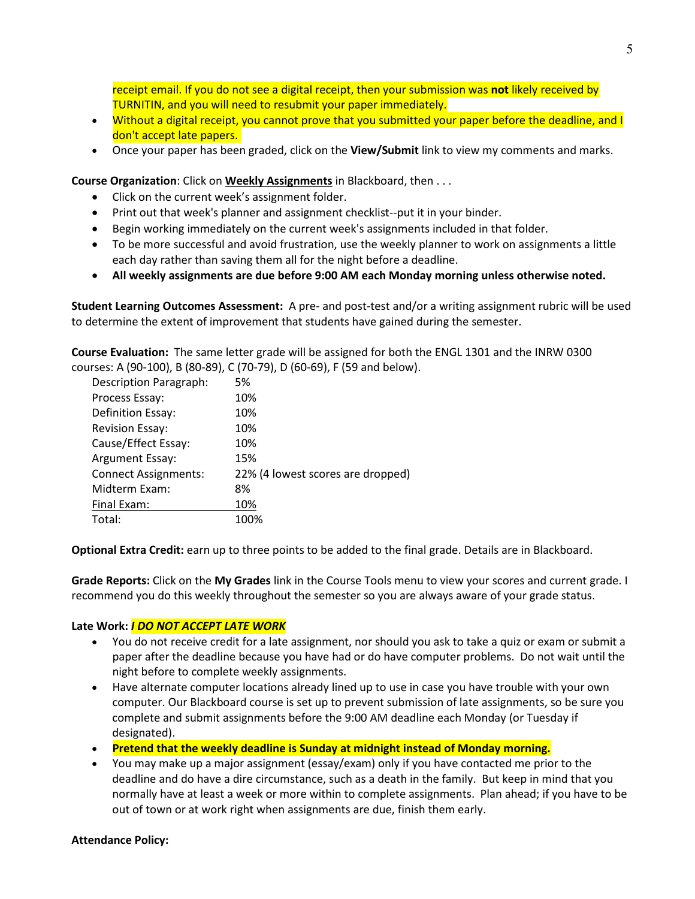receipt email. If you do not see a digital receipt, then your submission was **not** likely received by TURNITIN, and you will need to resubmit your paper immediately.

- Without a digital receipt, you cannot prove that you submitted your paper before the deadline, and I don't accept late papers.
- Once your paper has been graded, click on the **View/Submit** link to view my comments and marks.

**Course Organization**: Click on **Weekly Assignments** in Blackboard, then . . .

- Click on the current week's assignment folder.
- Print out that week's planner and assignment checklist--put it in your binder.
- Begin working immediately on the current week's assignments included in that folder.
- To be more successful and avoid frustration, use the weekly planner to work on assignments a little each day rather than saving them all for the night before a deadline.
- **All weekly assignments are due before 9:00 AM each Monday morning unless otherwise noted.**

**Student Learning Outcomes Assessment:** A pre- and post-test and/or a writing assignment rubric will be used to determine the extent of improvement that students have gained during the semester.

**Course Evaluation:** The same letter grade will be assigned for both the ENGL 1301 and the INRW 0300 courses: A (90-100), B (80-89), C (70-79), D (60-69), F (59 and below).

| <b>Description Paragraph:</b> | 5%                                |
|-------------------------------|-----------------------------------|
| Process Essay:                | 10%                               |
| Definition Essay:             | 10%                               |
| <b>Revision Essay:</b>        | 10%                               |
| Cause/Effect Essay:           | 10%                               |
| Argument Essay:               | 15%                               |
| <b>Connect Assignments:</b>   | 22% (4 lowest scores are dropped) |
| Midterm Exam:                 | 8%                                |
| Final Exam:                   | 10%                               |
| Total:                        | 100%                              |

**Optional Extra Credit:** earn up to three points to be added to the final grade. Details are in Blackboard.

**Grade Reports:** Click on the **My Grades** link in the Course Tools menu to view your scores and current grade. I recommend you do this weekly throughout the semester so you are always aware of your grade status.

#### **Late Work:** *I DO NOT ACCEPT LATE WORK*

- You do not receive credit for a late assignment, nor should you ask to take a quiz or exam or submit a paper after the deadline because you have had or do have computer problems. Do not wait until the night before to complete weekly assignments.
- Have alternate computer locations already lined up to use in case you have trouble with your own computer. Our Blackboard course is set up to prevent submission of late assignments, so be sure you complete and submit assignments before the 9:00 AM deadline each Monday (or Tuesday if designated).
- **Pretend that the weekly deadline is Sunday at midnight instead of Monday morning.**
- You may make up a major assignment (essay/exam) only if you have contacted me prior to the deadline and do have a dire circumstance, such as a death in the family. But keep in mind that you normally have at least a week or more within to complete assignments. Plan ahead; if you have to be out of town or at work right when assignments are due, finish them early.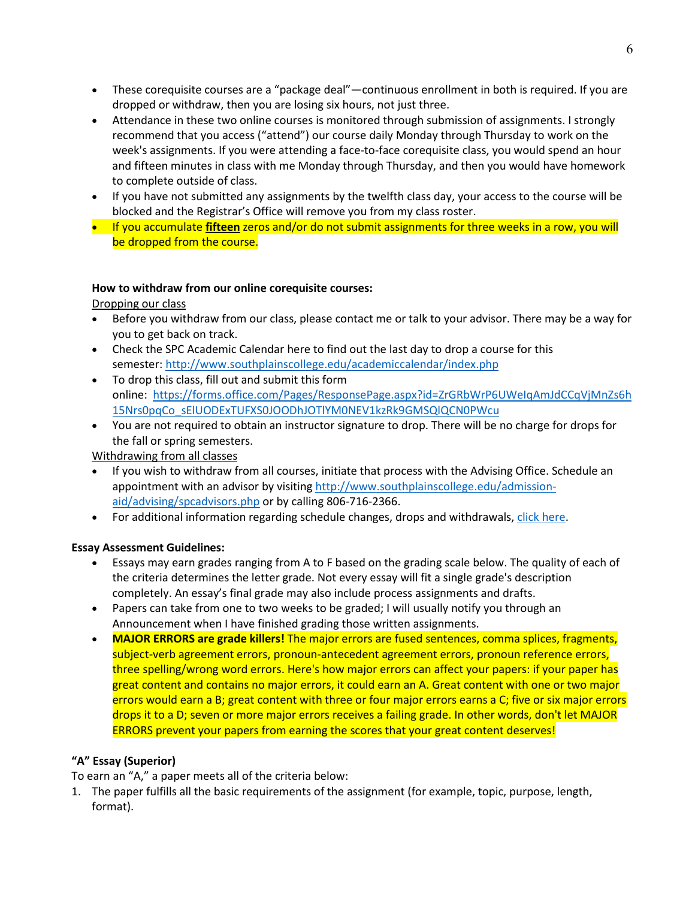- These corequisite courses are a "package deal"—continuous enrollment in both is required. If you are dropped or withdraw, then you are losing six hours, not just three.
- Attendance in these two online courses is monitored through submission of assignments. I strongly recommend that you access ("attend") our course daily Monday through Thursday to work on the week's assignments. If you were attending a face-to-face corequisite class, you would spend an hour and fifteen minutes in class with me Monday through Thursday, and then you would have homework to complete outside of class.
- If you have not submitted any assignments by the twelfth class day, your access to the course will be blocked and the Registrar's Office will remove you from my class roster.
- If you accumulate **fifteen** zeros and/or do not submit assignments for three weeks in a row, you will be dropped from the course.

### **How to withdraw from our online corequisite courses:**

Dropping our class

- Before you withdraw from our class, please contact me or talk to your advisor. There may be a way for you to get back on track.
- Check the SPC Academic Calendar here to find out the last day to drop a course for this semester: <http://www.southplainscollege.edu/academiccalendar/index.php>
- To drop this class, fill out and submit this form online: [https://forms.office.com/Pages/ResponsePage.aspx?id=ZrGRbWrP6UWeIqAmJdCCqVjMnZs6h](https://forms.office.com/Pages/ResponsePage.aspx?id=ZrGRbWrP6UWeIqAmJdCCqVjMnZs6h15Nrs0pqCo_sElUODExTUFXS0JOODhJOTlYM0NEV1kzRk9GMSQlQCN0PWcu) [15Nrs0pqCo\\_sElUODExTUFXS0JOODhJOTlYM0NEV1kzRk9GMSQlQCN0PWcu](https://forms.office.com/Pages/ResponsePage.aspx?id=ZrGRbWrP6UWeIqAmJdCCqVjMnZs6h15Nrs0pqCo_sElUODExTUFXS0JOODhJOTlYM0NEV1kzRk9GMSQlQCN0PWcu)
- You are not required to obtain an instructor signature to drop. There will be no charge for drops for the fall or spring semesters.

Withdrawing from all classes

- If you wish to withdraw from all courses, initiate that process with the Advising Office. Schedule an appointment with an advisor by visiting [http://www.southplainscollege.edu/admission](http://www.southplainscollege.edu/admission-aid/advising/spcadvisors.php)[aid/advising/spcadvisors.php](http://www.southplainscollege.edu/admission-aid/advising/spcadvisors.php) or by calling 806-716-2366.
- For additional information regarding schedule changes, drops and withdrawals, [click here.](http://www.southplainscollege.edu/admission-aid/apply/schedulechanges.php)

### **Essay Assessment Guidelines:**

- Essays may earn grades ranging from A to F based on the grading scale below. The quality of each of the criteria determines the letter grade. Not every essay will fit a single grade's description completely. An essay's final grade may also include process assignments and drafts.
- Papers can take from one to two weeks to be graded; I will usually notify you through an Announcement when I have finished grading those written assignments.
- **MAJOR ERRORS are grade killers!** The major errors are fused sentences, comma splices, fragments, subject-verb agreement errors, pronoun-antecedent agreement errors, pronoun reference errors, three spelling/wrong word errors. Here's how major errors can affect your papers: if your paper has great content and contains no major errors, it could earn an A. Great content with one or two major errors would earn a B; great content with three or four major errors earns a C; five or six major errors drops it to a D; seven or more major errors receives a failing grade. In other words, don't let MAJOR ERRORS prevent your papers from earning the scores that your great content deserves!

# **"A" Essay (Superior)**

To earn an "A," a paper meets all of the criteria below:

1. The paper fulfills all the basic requirements of the assignment (for example, topic, purpose, length, format).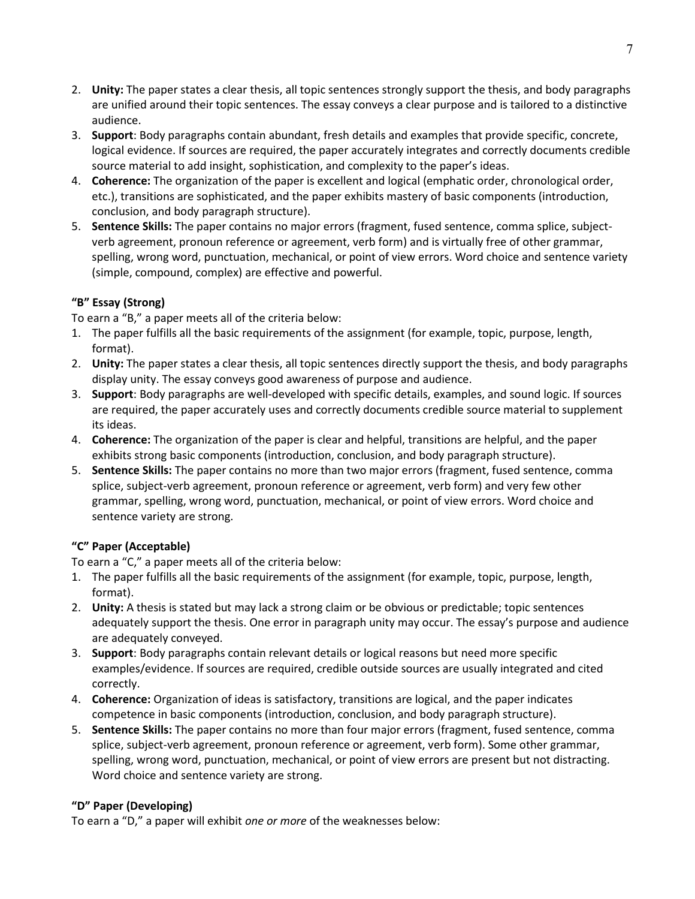- 2. **Unity:** The paper states a clear thesis, all topic sentences strongly support the thesis, and body paragraphs are unified around their topic sentences. The essay conveys a clear purpose and is tailored to a distinctive audience.
- 3. **Support**: Body paragraphs contain abundant, fresh details and examples that provide specific, concrete, logical evidence. If sources are required, the paper accurately integrates and correctly documents credible source material to add insight, sophistication, and complexity to the paper's ideas.
- 4. **Coherence:** The organization of the paper is excellent and logical (emphatic order, chronological order, etc.), transitions are sophisticated, and the paper exhibits mastery of basic components (introduction, conclusion, and body paragraph structure).
- 5. **Sentence Skills:** The paper contains no major errors (fragment, fused sentence, comma splice, subjectverb agreement, pronoun reference or agreement, verb form) and is virtually free of other grammar, spelling, wrong word, punctuation, mechanical, or point of view errors. Word choice and sentence variety (simple, compound, complex) are effective and powerful.

# **"B" Essay (Strong)**

To earn a "B," a paper meets all of the criteria below:

- 1. The paper fulfills all the basic requirements of the assignment (for example, topic, purpose, length, format).
- 2. **Unity:** The paper states a clear thesis, all topic sentences directly support the thesis, and body paragraphs display unity. The essay conveys good awareness of purpose and audience.
- 3. **Support**: Body paragraphs are well-developed with specific details, examples, and sound logic. If sources are required, the paper accurately uses and correctly documents credible source material to supplement its ideas.
- 4. **Coherence:** The organization of the paper is clear and helpful, transitions are helpful, and the paper exhibits strong basic components (introduction, conclusion, and body paragraph structure).
- 5. **Sentence Skills:** The paper contains no more than two major errors (fragment, fused sentence, comma splice, subject-verb agreement, pronoun reference or agreement, verb form) and very few other grammar, spelling, wrong word, punctuation, mechanical, or point of view errors. Word choice and sentence variety are strong.

# **"C" Paper (Acceptable)**

To earn a "C," a paper meets all of the criteria below:

- 1. The paper fulfills all the basic requirements of the assignment (for example, topic, purpose, length, format).
- 2. **Unity:** A thesis is stated but may lack a strong claim or be obvious or predictable; topic sentences adequately support the thesis. One error in paragraph unity may occur. The essay's purpose and audience are adequately conveyed.
- 3. **Support**: Body paragraphs contain relevant details or logical reasons but need more specific examples/evidence. If sources are required, credible outside sources are usually integrated and cited correctly.
- 4. **Coherence:** Organization of ideas is satisfactory, transitions are logical, and the paper indicates competence in basic components (introduction, conclusion, and body paragraph structure).
- 5. **Sentence Skills:** The paper contains no more than four major errors (fragment, fused sentence, comma splice, subject-verb agreement, pronoun reference or agreement, verb form). Some other grammar, spelling, wrong word, punctuation, mechanical, or point of view errors are present but not distracting. Word choice and sentence variety are strong.

# **"D" Paper (Developing)**

To earn a "D," a paper will exhibit *one or more* of the weaknesses below: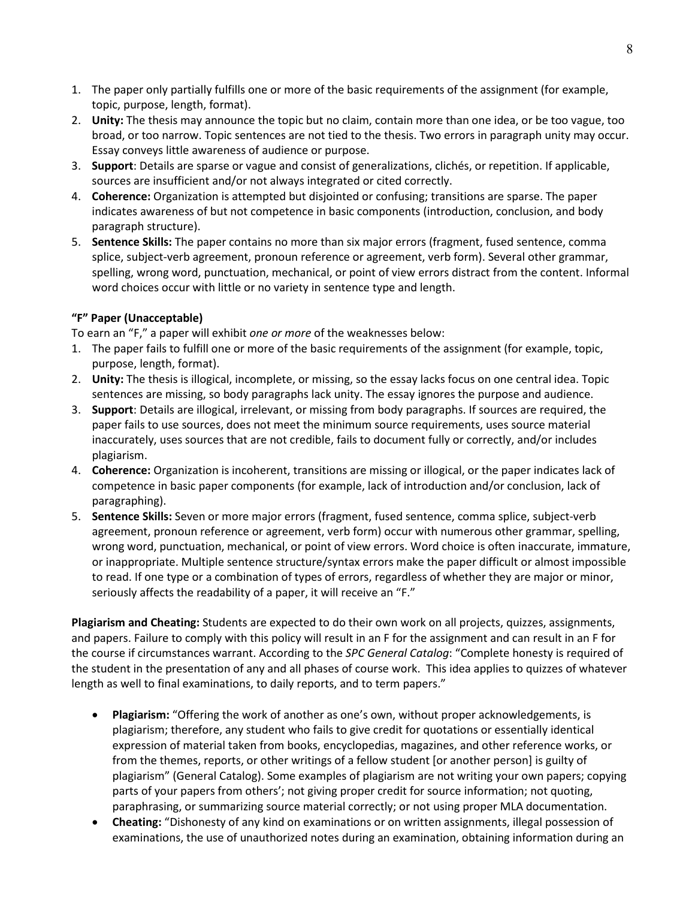- 1. The paper only partially fulfills one or more of the basic requirements of the assignment (for example, topic, purpose, length, format).
- 2. **Unity:** The thesis may announce the topic but no claim, contain more than one idea, or be too vague, too broad, or too narrow. Topic sentences are not tied to the thesis. Two errors in paragraph unity may occur. Essay conveys little awareness of audience or purpose.
- 3. **Support**: Details are sparse or vague and consist of generalizations, clichés, or repetition. If applicable, sources are insufficient and/or not always integrated or cited correctly.
- 4. **Coherence:** Organization is attempted but disjointed or confusing; transitions are sparse. The paper indicates awareness of but not competence in basic components (introduction, conclusion, and body paragraph structure).
- 5. **Sentence Skills:** The paper contains no more than six major errors (fragment, fused sentence, comma splice, subject-verb agreement, pronoun reference or agreement, verb form). Several other grammar, spelling, wrong word, punctuation, mechanical, or point of view errors distract from the content. Informal word choices occur with little or no variety in sentence type and length.

# **"F" Paper (Unacceptable)**

To earn an "F," a paper will exhibit *one or more* of the weaknesses below:

- 1. The paper fails to fulfill one or more of the basic requirements of the assignment (for example, topic, purpose, length, format).
- 2. **Unity:** The thesis is illogical, incomplete, or missing, so the essay lacks focus on one central idea. Topic sentences are missing, so body paragraphs lack unity. The essay ignores the purpose and audience.
- 3. **Support**: Details are illogical, irrelevant, or missing from body paragraphs. If sources are required, the paper fails to use sources, does not meet the minimum source requirements, uses source material inaccurately, uses sources that are not credible, fails to document fully or correctly, and/or includes plagiarism.
- 4. **Coherence:** Organization is incoherent, transitions are missing or illogical, or the paper indicates lack of competence in basic paper components (for example, lack of introduction and/or conclusion, lack of paragraphing).
- 5. **Sentence Skills:** Seven or more major errors (fragment, fused sentence, comma splice, subject-verb agreement, pronoun reference or agreement, verb form) occur with numerous other grammar, spelling, wrong word, punctuation, mechanical, or point of view errors. Word choice is often inaccurate, immature, or inappropriate. Multiple sentence structure/syntax errors make the paper difficult or almost impossible to read. If one type or a combination of types of errors, regardless of whether they are major or minor, seriously affects the readability of a paper, it will receive an "F."

**Plagiarism and Cheating:** Students are expected to do their own work on all projects, quizzes, assignments, and papers. Failure to comply with this policy will result in an F for the assignment and can result in an F for the course if circumstances warrant. According to the *SPC General Catalog*: "Complete honesty is required of the student in the presentation of any and all phases of course work. This idea applies to quizzes of whatever length as well to final examinations, to daily reports, and to term papers."

- **Plagiarism:** "Offering the work of another as one's own, without proper acknowledgements, is plagiarism; therefore, any student who fails to give credit for quotations or essentially identical expression of material taken from books, encyclopedias, magazines, and other reference works, or from the themes, reports, or other writings of a fellow student [or another person] is guilty of plagiarism" (General Catalog). Some examples of plagiarism are not writing your own papers; copying parts of your papers from others'; not giving proper credit for source information; not quoting, paraphrasing, or summarizing source material correctly; or not using proper MLA documentation.
- **Cheating:** "Dishonesty of any kind on examinations or on written assignments, illegal possession of examinations, the use of unauthorized notes during an examination, obtaining information during an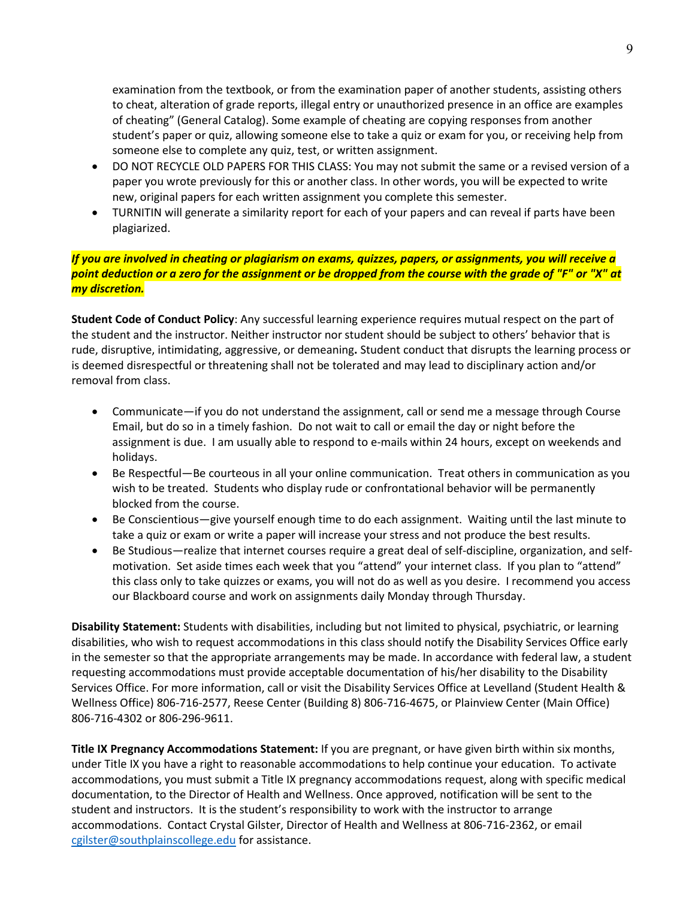examination from the textbook, or from the examination paper of another students, assisting others to cheat, alteration of grade reports, illegal entry or unauthorized presence in an office are examples of cheating" (General Catalog). Some example of cheating are copying responses from another student's paper or quiz, allowing someone else to take a quiz or exam for you, or receiving help from someone else to complete any quiz, test, or written assignment.

- DO NOT RECYCLE OLD PAPERS FOR THIS CLASS: You may not submit the same or a revised version of a paper you wrote previously for this or another class. In other words, you will be expected to write new, original papers for each written assignment you complete this semester.
- TURNITIN will generate a similarity report for each of your papers and can reveal if parts have been plagiarized.

### *If you are involved in cheating or plagiarism on exams, quizzes, papers, or assignments, you will receive a point deduction or a zero for the assignment or be dropped from the course with the grade of "F" or "X" at my discretion.*

**Student Code of Conduct Policy**: Any successful learning experience requires mutual respect on the part of the student and the instructor. Neither instructor nor student should be subject to others' behavior that is rude, disruptive, intimidating, aggressive, or demeaning**.** Student conduct that disrupts the learning process or is deemed disrespectful or threatening shall not be tolerated and may lead to disciplinary action and/or removal from class.

- Communicate—if you do not understand the assignment, call or send me a message through Course Email, but do so in a timely fashion. Do not wait to call or email the day or night before the assignment is due. I am usually able to respond to e-mails within 24 hours, except on weekends and holidays.
- Be Respectful—Be courteous in all your online communication. Treat others in communication as you wish to be treated. Students who display rude or confrontational behavior will be permanently blocked from the course.
- Be Conscientious—give yourself enough time to do each assignment. Waiting until the last minute to take a quiz or exam or write a paper will increase your stress and not produce the best results.
- Be Studious—realize that internet courses require a great deal of self-discipline, organization, and selfmotivation. Set aside times each week that you "attend" your internet class. If you plan to "attend" this class only to take quizzes or exams, you will not do as well as you desire. I recommend you access our Blackboard course and work on assignments daily Monday through Thursday.

**Disability Statement:** Students with disabilities, including but not limited to physical, psychiatric, or learning disabilities, who wish to request accommodations in this class should notify the Disability Services Office early in the semester so that the appropriate arrangements may be made. In accordance with federal law, a student requesting accommodations must provide acceptable documentation of his/her disability to the Disability Services Office. For more information, call or visit the Disability Services Office at Levelland (Student Health & Wellness Office) 806-716-2577, Reese Center (Building 8) 806-716-4675, or Plainview Center (Main Office) 806-716-4302 or 806-296-9611.

**Title IX Pregnancy Accommodations Statement:** If you are pregnant, or have given birth within six months, under Title IX you have a right to reasonable accommodations to help continue your education. To activate accommodations, you must submit a Title IX pregnancy accommodations request, along with specific medical documentation, to the Director of Health and Wellness. Once approved, notification will be sent to the student and instructors. It is the student's responsibility to work with the instructor to arrange accommodations. Contact Crystal Gilster, Director of Health and Wellness at 806-716-2362, or email [cgilster@southplainscollege.edu](mailto:cgilster@southplainscollege.edu) for assistance.